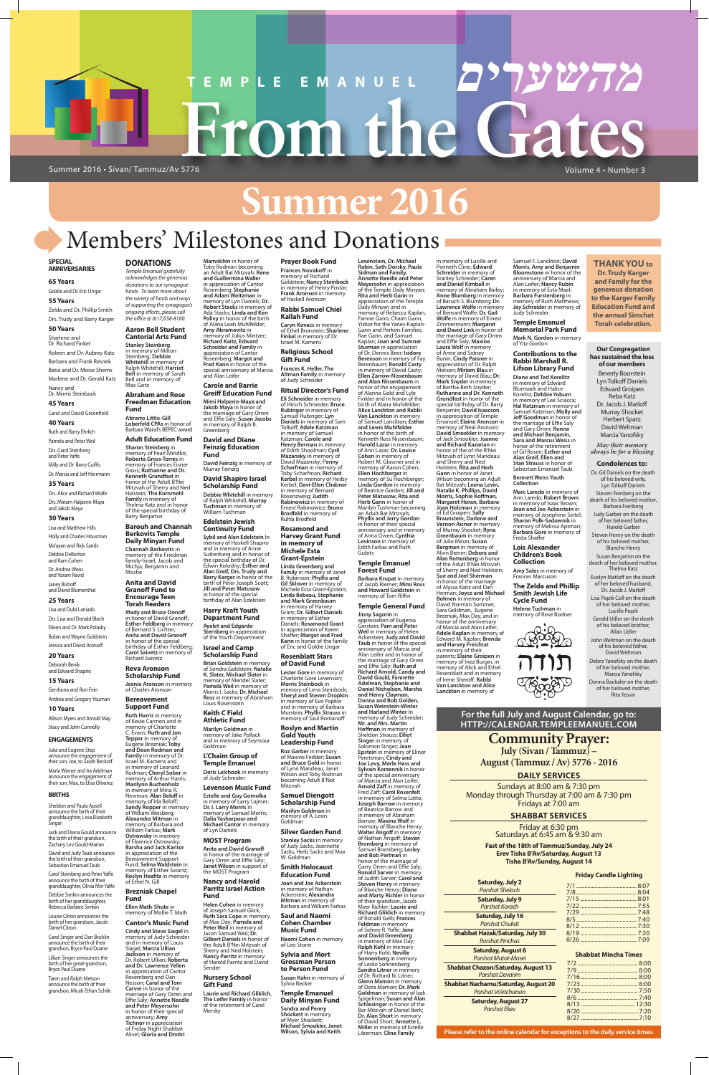# **Summer 2016**

#### **SPECIAL ANNIVERSARIES**

**65 Years**

**55 Years**

Goldie and Dr. Eric Ungar Zelda and Dr. Phillip Smith Drs. Trudy and Barry Karger

#### **50 Years** Sharlene and

Dr. Richard Finkel Roleen and Dr. Aubrey Katz Barbara and Frank Resnek Batia and Dr. Moise Shems Marlene and Dr. Gerald Katz

## Nancy and Dr. Morris Steinbock

#### Dr. Andrea Weiss and Yoram Ravid

**45 Years** Carol and David Greenfield

#### **40 Years**

Ruth and Barry Ehrlich Pamela and Peter Weil Drs. Carol Steinberg and Peter Yaffe

Milly and Dr. Barry Cuiffo Dr. Marcia and Jeff Herrmann

#### **35 Years**

Drs. Alice and Richard Wolfe Drs. Miriam Halperin-Maya and Jakob Maya

**Julia and Eugene Step**<br>announce the engagement of announce the engage their son, Joe, to Sarah Beckoff

#### **30 Years**

Lisa and Matthew Hills Holly and Charles Housman Ma'ayan and Rick Sands Debbie DeBotton and Ram Cohen

David and Judy Taub announce the birth of their grandson, Sebastian Emanuel Taub

Janey Bishoff and David Blumenthal

#### **25 Years**

Lisa and Dubi Laniado Drs. Lisa and Donald Bloch Eileen and Dr. Mark Polasky Robin and Wayne Goldstein Jessica and David Aronoff

#### **20 Years** Deborah Benik

and Edward Shapiro **15 Years**

#### Gershona and Ron Fein Andrea and Gregory Youman

**10 Years**

Allison Myers and Arnold May Stacy and John Connolly

#### **ENGAGEMENTS**

Marla Wiener and Ira Adelman announce the engagement of their son, Max, to Elisa Olivarez

#### **BIRTHS**

Sheldon and Paula Apsell announce the birth of their granddaughter, Livia Elizabeth Singer

Jack and Diana Gould announce the birth of their grandson, Zachary Lev Gould-Marian

Moshe **Anita and David Granoff Fund to Encourage Teen** 

Carol Steinberg and Peter Yaffe announce the birth of their granddaughter, Olivia Miri Yaffe

Debbie Simkin announces the birth of her granddaughter, Rebecca Barbara Simkin

Louise Citron announces the birth of her grandson, Jacob Daniel Citron

Carol Singer and Dan Bricklin announce the birth of their grandson, Bryce Paul Duane

Lillian Singer announces the birth of her great-grandson, Bryce Paul Duane

Taren and Ralph Metson announce the birth of their grandson, Micah Ethan Schilit

#### **DONATIONS** *Temple Emanuel gratefully*

*acknowledges the generous donations to our synagogue funds. To learn more about the variety of funds and ways of supporting the synagogue's ongoing efforts, please call the office @ (617)558-8100.* **Aaron Bell Student**

## **Cantorial Arts Fund**

**Stanley Steinberg** in memory of Milton Steinberg; **Debbie Whitehill** in memory of Ralph Whitehill; **Harriet Bell** in memory of Sarah Bell and in memory of Max Gotz

memory of Richard<br>Goldstein; **Nancy Steinbock**<br>in memory of Henry Postar; **Frank Aronson** in memory of Haskell Aronson

#### **Abraham and Rose Freedman Education Fund**

**Abrams Little-Gill Loberfeld CPAs** in honor of Barbara Wand's BEPEC award

#### **Adult Education Fund Sharon Steinberg** in memory of Pearl Mindlin; **Roberta Gross-Torres** in

memory of Frances Eisner Gross; **Ruthanne and Dr. Kenneth Grundfast** in honor of the Adult B'Nei Mitzvah of Sherry and Ned Holstein; **The Kornmehl Family** in memory of Thelma Katz and in honor of the special birthday of Barry Benjamin

#### **Barouh and Channah Berkovits Temple Daily Minyan Fund Channah Berkovits** in memory of the Friedman family-Israel, Jacob and Michja, Benjamin and

#### **Torah Readers Mady and Bruce Donoff**  in honor of David Granoff; **Esther Feldberg** in memory of Bernard S. Lichter;

**Anita and David Granoff** in honor of the special birthday of Esther Feldberg; **Carol Saivetz** in memory of Richard Saivetz

#### **Reva Aronson Scholarship Fund**

**Jeanie Aronson** in memory of Charles Aronson **Bereavement** 

#### **Support Fund Ruth Harris** in memory

of Kevie Carmen and in memory of Charlotte C. Evans; **Ruth and Jon Tepper** in memory of Eugene Brezniak; **Toby and Dean Rodman and** 

**Family** in memory of Dr. Israel M. Kamens and in memory of Leonard Rodman; **Cheryl Sober** in memory of Arthur Harris; **Marilynn Buchenholz**  in memory of Mina R. Newman; **Alan Beloff** in memory of Ida Beloff; **Sandy Ropper** in memory of William Weisberg; **Alexandra Mitman** in memory of Barbara and William Farkas; **Mark Ostrowsky** in memory of Florence Ostrowsky; **Barsha and Jack Kantor**

in appreciation of the Bereavement Support Fund; **Selma Waldstein** in memory of Esther Swartz; **Roslyn Heafitz** in memory

of Ethel N. Gill

#### **Brezniak Chapel Fund**

**Ellen Math-Shute** in memory of Mollie T. Math

#### **Cantor's Music Fund**

**Cindy and Steve Siagel** in memory of Judy Schreider and in memory of Louis Siagel; **Marcia Ullian Jackson** in memory of Dr. Robert Ullian; **Roberta and Dr. Lawrence Yellen** in appreciation of Cantor Rosemberg and Dan Nesson; **Carol and Tom Carver** in honor of the marriage of Gary Orren and Effie Saly; **Annette Needle and Peter Meyersohn** in honor of their special anniversary; **Amy Tichnor** in appreciation of Friday Night Shabbat Alive!; **Gloria and Dmitri** 

**Caryn Kovacs** in memory of Ethel Bronstein; **Sharlene Finkel** in memory of Dr. Israel M. Kamens **Religious School** 

**Gift Fund Frances K. Heller, The** 

**Altman Family** in memory of Judy Schreider

#### **Harvey Grant Fund in memory of Michele Esta Grant-Epstein**

#### **Rosenblatt Stars of David Fund**

#### **Roslyn and Martin Gold Youth Leadership Fund**

**Roz Garber** in memory of Maxine Fedder; **Susan and Bruce Gold** in honor of Lynn Mandeau, Janet Wilson and Toby Rodman

**Laurie and Richard Gliklich**, **The Leifer Family** in honor of the retirement of Carol **Mersky** 

Mitzvah

becoming Adult B'Not **Samuel Diengott Scholarship Fund Marilyn Goldman** in memory of A. Leon<br>Goldman **Silver Garden Fund Stanley Sacks** in memory of Judy Sacks, Jeannette Sacks, Herb Sacks and Max W. Goldman **Smith Holocaust Education Fund Joan and Joe Ackerstein** in memory of Nathan Ackerstein; **Alexandra Mitman** in memory of Barbara and William Farkas **Saul and Naomi Cohen Chamber** 

**Music Fund**

**Naomi Cohen** in memory

#### of Leo Stone **Sylvia and Mort Grossman Person to Person Fund Susan Kahn** in memory of

Sylvia Becker **Temple Emanuel** 

#### **Daily Minyan Fund**

**Shockett** in memory

**Sandra and Penny**  of Myer Shockett; **Michael Smookler, Janet** 

**Wilson, Sylvia and Keith** 

**Lewinstein, Dr. Michael** 

# **From the Gates TEMPLE EMANUEL מהשערים**

**Prayer Book Fund Frances Novakoff** in Toby Rodman becoming an Adult Bat Mitzvah; **Rene** 

**Rabin, Seth Dorsky, Paula Sidman and Family, Annette Needle and Peter Meyersohn** in appreciation of the Temple Daily Minyan; **Rita and Herb Gann** in appreciation of the Temple Daily Minyan and in memory of Rebecca Kaplan,<br>Fannie Gann, Chaim Gann,<br>Yizkor for the Yanes-Kaplan-Gann and Perkins Families, Rae Gann, and Samuel Kaplan; **Joan and Sumner Sturman** in appreciation of Dr. Dennis Beer; **Isidore Berenson** in memory of Fay Berenbaum; **Ronald Casty**  in memory of David Casty; **Ellen Zarrow-Nissenbaum and Alan Nissenbaum** in<br>honor of the engagement<br>of Alanna Gold and Lyle Finkler and in honor of the birth of Alana Muhifelder; **Alice Lanckton and Rabbi Van Lanckton** in memory of Samuel Lanckton; **Esther and Lewis Muhlfelder**<br>in honor of the birth of<br>Kenneth Ross Nissenbaum; **Harold Lazar** in memory of Ann Lazar; **Dr. Louise Cohen** in memory of Robert M. Glassner and in memory of Aaron Cohen; **Ellen Hochberger** in memory of Su Hochberger; **Linda Gordon** in memory of Beatrice Gordon; **Jill and** 

### **Rabbi Samuel Chiel Kallah Fund** Rosemberg; **Stephanie and Adam Weitzman** in memory of Lyn Daniels; **Dr. Robert Stacks** in memory of

in memory of Isaac Brown; **Joan and Joe Ackerstein** in memory of Josephine Seitel; **Sharon Polk-Sadownik** in memory of Melissa Aptman;<br>**Barbara Gore** in memory of<br>Freda Shaffer

#### **Ritual Director's Fund Greiff Education Fund**

**Eli Schneider** in memory of Hirsch Schneider; **Bruce Rubinger** in memory of Samuel Rubinger; **Lyn Daniels** in memory of Sam Tolkoff; **Adele Katzman** in memory of Samuel Katzman; **Carole and Henry Berman** in memory of Edith Shoolman; **Cyril Mazansky** in memory of David Mazansky; P**enny Scharfman** in memory of Toby Scharfman; **Richard Kerbel** in memory of Herby Kerbel; **Davi-Ellen Chabner**  in memory of Bernard Rosenzweig; **Judith Rabinowicz** in memory of Ernest Rabinowicz; **Bruno Brodfeld** in memory of Ruhla Brodfeld **Rosamond and Jakob Maya** in honor of the marriage of Gary Orren and Effie Saly; **Susan Jacobs David Feinzig** in memory of **Debbie Whitehill** in memory

**Peter Matusow, Rita and Herb Gann** in honor of Marilyn Tushman becoming an Adult Bat Mitzvah; **Phyllis and Jerry Gordon** in honor of their special anniversary and in memory of Anna Owen; **Cynthia Levinson** in memory of Edith Farkas and Ruth Gubits **Temple Emanuel** 

#### **Forest Fund Barbara Krupat** in memory

of Jacob Riemer; **Mimi Ross and Howard Goldstein** in memory of Tom Riffin

**Linda Greenberg and Family** in memory of Janet B. Robinson; **Phyllis and Gil Sklover** in memory of Michele Esta Grant-Epstein **Linda Bebeau, Stephanie and Mark Greenbaum** in memory of Harvey Grant; **Dr. Gilbert Daniels** in memory of Esther Daniels; **Rosamond Grant** in appreciation of Karen Shaffer; **Margot and Fred Kann** in honor of the family of Eric and Goldie Ungar and in memory of Anne Suttenberg and in honor of the special birthday of Dr. Edwin Kolodny; **Esther and Alan Greif, Drs. Trudy and Barry Karger** in honor of the birth of Peter Joseph Scott; **Jill and Peter Matusow Sternberg** in appreciation of the Youth Department

**Temple General Fund Jinny Sagorin** in appreciation of Eugenia Gerstein; **Pam and Peter Weil** in memory of Helen Ackerstein; **Judy and David Taub** in honor of the special anniversary of Marcia and Alan Leifer and in honor of the marriage of Gary Orren<br>and Effie Saly; **Ruth and<br>Richard Arnold, Candy and<br>David Gould, Fannette<br>Adelman, Stephanie and<br>Daniel Nicholson, Marsha and Henry Clayman, Donna and Bob Golden, Susan Weinstein-Winter and Harland Winter** In memory of Judy Schreider; **Mr. and Mrs. Martin Hoffman** in memory of Sheldon Strauss; **Elliot Singer** in memory of Solomon Singer; **Jean Epstein** in memory of Elinor

#### **Friday Candle Lighting**  $8.07$

**Lester Gore** in memory of Charlotte Gore Levenson; **Morris Steinbock** in memory of Lena Steinbock; **Sheryl and Steven Dropkin** in memory of Eve Popkin and in memory of Barbara Murstein; **Phyllis Strauss** in memory of Saul Romanoff **Brian Goldstein** in memory of Sondra Goldstein; **Natalie K. Slater, Michael Slater** in memory of Mendel Slater; **Pamela Weil** in memory of Morris I. Sacks; **Dr. Michael Ross** in memory of Abraham

Peretsman; **Cindy and Joe Levy, Merle Hass and Sylvain Korzennik** in honor of the special anniversary

of Marcia and Alan Leifer; **Arnold Zaff** in memory of Fred Zaff; **Carol Rosenfelt** in memory of Selma Lotto; **Joseph Barrow** in memory of Beatrice Barrow and in memory of Abraham Barrow; **Maxine Wolf** in memory of Blanche Henry; **Walter Angoff** in memory of Nathan Angoff; **Steven Bromberg** in memory of Samuel Bromberg; **Lesley and Bob Perlman** in honor of the marriage of Garry Orren and Effie Saly; **Ronald Sarver** in memory of Judith Sarver; **Carol and Steven Henry** in memory of Blanche Henry; **Diane and Marty Richler** in honor of their grandson, Jacob Myer Richler; **Laurie and Richard Gliklich** in memory of Ronald Gelb; **Frances Feldman** in memory of Sidney R. Yoffe; **Jane and David Greenberg** in memory of Max Day; **Ralph Kohl** in memory of Harry Kohl; **Neville Sonnenberg** in memory of Leslie Sonnenberg; **Sandra Litner** in memory of Dr. Richard N. Litner; **Glenn Mamon** in memory of Dora Mamon; **Dr. Mark Goldman** in memory of Izak Spigelman; **Susan and Alan Schlesinger** in honor of the Bar Mitzvah of Daniel Berk; **Dr. Alan Short** in memory of David Short; **Annette L. Miller** in memory of Estelle Liberman; **Cline Family**

## Members' Milestones and Donations

**Mamokhin** in honor of

**and Guillermina Waller** in appreciation of Cantor

Ada Stacks; **Linda and Ken Polivy** in honor of the birth of Alana Leah Muhlfelder; **Amy Abramovitz** in memory of Julius Mintzer; **Richard Kaitz, Edward Schreider and Family** in appreciation of Cantor Rosemberg; **Margot and Fred Kann** in honor of the special anniversary of Marcia

and Alan Leifer **Carole and Barrie** 

**Mimi Halperin-Maya and** 

in memory of Ralph B. Greenberg **David and Diane Feinzig Education** 

**Fund**

Murray Feinzig

**David Shapiro Israel Scholarship Fund**

of Ralph Whitehill; **Murray Tuchman** in memory of William Tuchman **Edelstein Jewish Continuity Fund Sybil and Alan Edelstein** In memory of Haskell Shapiro

in honor of the special birthday of Alan Edelstein **Harry Kraft Youth Department Fund Ayelet and Edgardo** 

**Israel and Camp Scholarship Fund**

Louis Rosenstein **Keith C Field Athletic Fund Marilyn Goldman** in

#### memory of Jake Pollack and in memory of Seymour Goldman **L'Chaim Group of Temple Emanuel**

**Doris Lelchook** in memory of Judy Schreider

#### **Levenson Music Fund**

**Estelle and Guy Gomolka** in memory of Larry Lajmer; **Dr. I. Larry Morris** in memory of Samuel Morris; **Dalia Yasharpour and Michael Cantor** in memory of Lyn Daniels

#### **MOST Program**

**Anita and David Granoff** in honor of the marriage of Gary Orren and Effie Saly; **Janet Wilson** in support of the MOST Program

#### **Nancy and Harold Parritz Israel Action Fund**

**Helen Cohen** in memory of Joseph Samuel Glick; **Ruth Sara Cope** in memory of Max Day; **Pamela and Peter Weil** in memory of Jason Samuel Weil; **Dr. Gilbert Daniels** in honor of the Adult B'Nei Mitzvah of Sherry and Ned Holstein; **Nancy Parritz** in memory of Harold Parritz and David Sender

#### **Nursery School Gift Fund**

in memory of Lucille and Penneth Cline; **Edward Schreider** in memory of Stanley Schreider; **Caren and Daniel Kimball** in memory of Abraham Bailey; **Anne Blumberg** in memory of Baruch S. Blumberg; **Dr. Lawrence Wolfe** in memory of Bernard Wolfe; **Dr. Gail Wolfe** in memory of Ernest Zimmermann; **Margaret and David Link** in honor of the marriage of Gary Orren and Effie Saly; **Maxine Laura Wolf** in memory of Anne and Sidney Bunin; **Cindy Paisner** in appreciation of Dr. Ralph Metson; **Miriam Blau** in memory of David Blau; **Dr. Mark Snyder** in memory of Bertha-Beth Snyder; **Ruthanne and Dr. Kenneth Grundfast** in honor of the special birthday of Dr. Barry Benjamin; **David Isaacson** in appreciation of Temple Emanuel; **Elaine Aronson** in memory of Neal Aronson; **David Smookler** in memory of Jack Smookler; J**oanne and Richard Kazarian** in honor of the of the B'Nei Mitzvah of Lynn Mandeau and Sherry and Ned Holstein; **Rita and Herb Gann** in honor of Janet<br>Wilson becoming an Adult<br>Bat Mitzvah; **Leona Levin, Natalie K. Phillips, David Morris, Sophie Koffman, Margaret Horan, Barbara-Joan Holzman** in memory of Ed Groipen; **Sally Braunstein, Darlene and Vernon Aisner** in memory of Murray Shocket; **Ryna Greenbaum** in memory of Julie Miron; **Susan Bergman** in memory of Alvin Biener; **Debora and Alan Rottenberg** in honor of the Adult B'Nei Mitzvah of Sherry and Ned Holstein; **Sue and Joel Sherman**  in honor of the marriage of Alyssa Kaitz and Dan Herman; **Joyce and Michael Bohnen** in memory of David Norman Sommer, Sara Goldman, Eugene Brezniak, Max Day, and in honor of the anniversary of Marcia and Alan Leifer; **Adele Kaplan** in memory of Edward M. Kaplan; **Brenda** 

**and Harvey Freishtat** in memory of their parents; **Elaine Groipen** in memory of Inez Burgin, in memory of Alick and Ethel Rosenblatt and in memory of Irene Sheroff; **Rabbi Van Lanckton and Alice Lanckton** in memory of

**מהשערים**

Samuel F. Lanckton; **David Morris, Amy and Benjamin Bloomstone** in honor of the anniversary of Marcia and Alan Leifer; **Nancy Rubin** in memory of Esta Mael;<br>**Barbara Furstenberg** in<br>memory of Ruth Matthews; **Jay Schreider** in memory of Judy Schreider

**Temple Emanuel Memorial Park Fund Mark N. Gordon** in memory

#### of Yitz Gordon **Contributions to the Rabbi Marshall R. Lifson Library Fund**

**Diane and Ted Korelitz** in memory of Edward Blumsack and Halice Korelitz; **Debbie Yoburn** in memory of Lee Sciacca; **Hal Katzman** in memory of Samuel Katzman; **Molly and Jeff Goodman** in honor of the marriage of Effie Saly and Gary Orren; **Ronna and Michael Benjamin, Sara and Marcus Weiss** in honor of the retirement of Gil Rosen; **Esther and Alan Greif, Ellen and Stan Strauss** in honor of Sebestian Emanuel Taub

**Bennett Weiss Youth Collection Marc Laredo** in memory of Ann Laredo; **Robert Brown**

#### **Lois Alexander Children's Book Collection**

**Amy Sales** in memory of Frances Marcuson **The Zelda and Phillip Smith Jewish Life** 





#### **Our Congregation has sustained the loss of our members**

Beverly Boorstein Lyn Tolkoff Daniels Edward Groipen Reba Katz Dr. Jacob J. Matloff Murray Shocket Herbert Spatz David Weltman Marcia Yanofsky

*May their memory always be for a blessing* 

#### **Condolences to:**

Dr. Gil Daniels on the death of his beloved wife, Lyn Tolkoff Daniels Steven Feinberg on the death of his beloved mother, Barbara Feinberg Judy Garber on the death

of her beloved father, Harold Garber Steven Henry on the death

of his beloved mother, Blanche Henry Susan Benjamin on the

#### death of her beloved mother, Thelma Katz Evelyn Matloff on the death of her beloved husband, Dr. Jacob J. Matloff Lisa Popik Coll on the death of her beloved mother, Lucille Popik

Gerald Udler on the death of his beloved brother, Allan Udler John Weltman on the death of his beloved father, David Weltman Debra Yanofsky on the death of her beloved mother, Marcia Yanofsky Donna Backaler on the death of her beloved mother,

Rita Yessin

**For the full July and August Calendar, go to: HTTP://CALENDAR.TEMPLEEMANUEL.COM**

## **Community Prayer:**

**July (Sivan / Tammuz) – August (Tammuz / Av) 5776 - 2016**

#### **DAILY SERVICES**

Sundays at 8:00 am & 7:30 pm Monday through Thursday at 7:00 am & 7:30 pm Fridays at 7:00 am

#### **SHABBAT SERVICES**

Friday at 6:30 pm Saturdays at 6:45 am & 9:30 am

**Fast of the 18th of Tammuz/Sunday, July 24 Erev Tisha B'Av/Saturday, August 13 Tisha B'Av/Sunday, August 14**

*Parshat Shelach* **Saturday, July 9** *Parshat Korach* **Saturday, July** *Parshat Chuka* **Shabbat Hazak/Saturd** *Parshat Pinchas*  **Saturday, August 6** *Parshat Matot-Masei* **Shabbat Chazon/Saturday, August 13**  *Parshat Devarim* **Shabbat Nachamu/Saturday, August 20** *Parshat Va'etchanan* **Saturday, August 27** *Parshat Ekev*

| <b>Saturday, July 2</b>   |             |  |
|---------------------------|-------------|--|
| <b>Parshat Shelach</b>    |             |  |
| <b>Saturday, July 9</b>   |             |  |
| Parshat Korach            |             |  |
| Saturday, July 16         |             |  |
|                           |             |  |
| <b>Parshat Chukat</b>     |             |  |
| t Hazak/Saturday, July 30 |             |  |
| Darchat Dinchac           | $8/26$ 7.09 |  |

#### **Shabbat Mincha Times**

## **THANK YOU to**

**Dr. Trudy Karger and Family for the generous donation to the Karger Family Education Fund and the annual Simchat Torah celebration.** 

**Please refer to the online calendar for exceptions to the daily service times.**